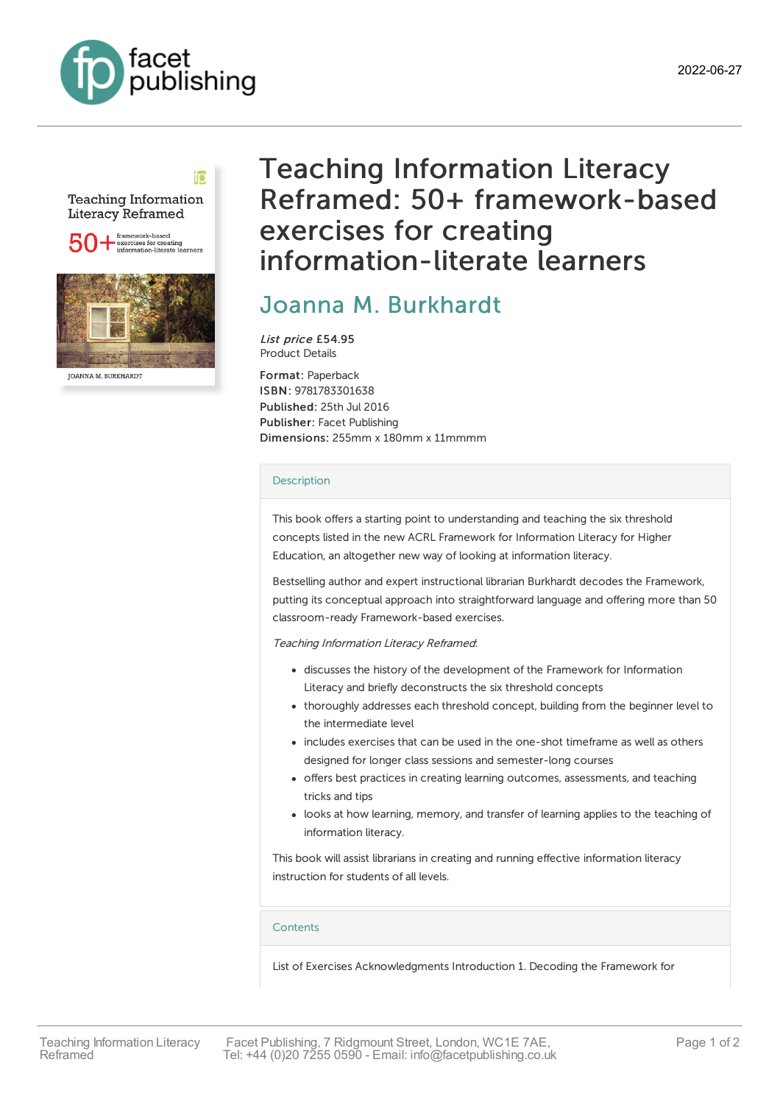



#### **JOANNA M. BURKHARDT**

# Teaching Information Literacy Reframed: 50+ framework-based exercises for creating information-literate learners

## Joanna M. [Burkhardt](https://www.facetpublishing.co.uk/page/author-detail/?SF1=contributor&ST1=Joanna%20M.%20Burkhardt)

List price £54.95 Product Details

Format: Paperback ISBN: 9781783301638 Published: 25th Jul 2016 Publisher: Facet Publishing Dimensions: 255mm x 180mm x 11mmmm

#### [Description](javascript:void(0);)

This book offers a starting point to understanding and teaching the six threshold concepts listed in the new ACRL Framework for Information Literacy for Higher Education, an altogether new way of looking at information literacy.

Bestselling author and expert instructional librarian Burkhardt decodes the Framework, putting its conceptual approach into straightforward language and offering more than 50 classroom-ready Framework-based exercises.

Teaching Information Literacy Reframed:

- discusses the history of the development of the Framework for Information Literacy and briefly deconstructs the six threshold concepts
- thoroughly addresses each threshold concept, building from the beginner level to the intermediate level
- includes exercises that can be used in the one-shot timeframe as well as others designed for longer class sessions and semester-long courses
- offers best practices in creating learning outcomes, assessments, and teaching tricks and tips
- looks at how learning, memory, and transfer of learning applies to the teaching of information literacy.

This book will assist librarians in creating and running effective information literacy instruction for students of all levels.

#### **[Contents](javascript:void(0);)**

List of Exercises Acknowledgments Introduction 1. Decoding the Framework for